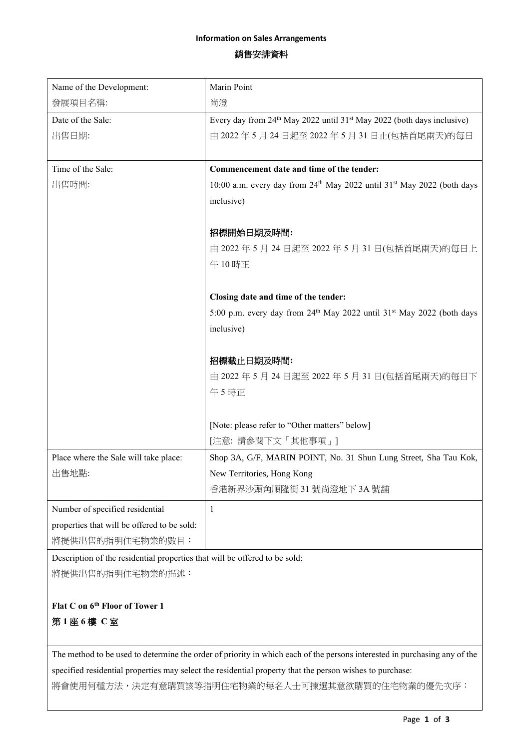### **Information on Sales Arrangements**

# 銷售安排資料

| Name of the Development:                                                   | Marin Point                                                                                    |
|----------------------------------------------------------------------------|------------------------------------------------------------------------------------------------|
| 發展項目名稱:                                                                    | 尚澄                                                                                             |
| Date of the Sale:                                                          | Every day from 24 <sup>th</sup> May 2022 until 31 <sup>st</sup> May 2022 (both days inclusive) |
| 出售日期:                                                                      | 由 2022年5月24日起至2022年5月31日止(包括首尾兩天)的每日                                                           |
|                                                                            |                                                                                                |
| Time of the Sale:                                                          | Commencement date and time of the tender:                                                      |
| 出售時間:                                                                      | 10:00 a.m. every day from 24 <sup>th</sup> May 2022 until 31 <sup>st</sup> May 2022 (both days |
|                                                                            | inclusive)                                                                                     |
|                                                                            |                                                                                                |
|                                                                            | 招標開始日期及時間:                                                                                     |
|                                                                            | 由 2022年5月24日起至2022年5月31日(包括首尾兩天)的每日上                                                           |
|                                                                            | 午10時正                                                                                          |
|                                                                            |                                                                                                |
|                                                                            | Closing date and time of the tender:                                                           |
|                                                                            | 5:00 p.m. every day from 24 <sup>th</sup> May 2022 until 31 <sup>st</sup> May 2022 (both days  |
|                                                                            | inclusive)                                                                                     |
|                                                                            |                                                                                                |
|                                                                            | 招標截止日期及時間:                                                                                     |
|                                                                            | 由 2022年5月24日起至2022年5月31日(包括首尾兩天)的每日下                                                           |
|                                                                            | 午5時正                                                                                           |
|                                                                            |                                                                                                |
|                                                                            | [Note: please refer to "Other matters" below]                                                  |
|                                                                            | [注意: 請參閱下文「其他事項」]                                                                              |
| Place where the Sale will take place:                                      | Shop 3A, G/F, MARIN POINT, No. 31 Shun Lung Street, Sha Tau Kok,                               |
| 出售地點:                                                                      | New Territories, Hong Kong                                                                     |
|                                                                            | 香港新界沙頭角順隆街 31號尚澄地下 3A 號舖                                                                       |
| Number of specified residential                                            | 1                                                                                              |
| properties that will be offered to be sold:                                |                                                                                                |
| 將提供出售的指明住宅物業的數目:                                                           |                                                                                                |
| Description of the residential properties that will be offered to be sold: |                                                                                                |
| 將提供出售的指明住宅物業的描述:                                                           |                                                                                                |

**Flat C on 6 th Floor of Tower 1**

第 **1** 座 **6** 樓 **C** 室

The method to be used to determine the order of priority in which each of the persons interested in purchasing any of the specified residential properties may select the residential property that the person wishes to purchase:

將會使用何種方法,決定有意購買該等指明住宅物業的每名人士可揀選其意欲購買的住宅物業的優先次序: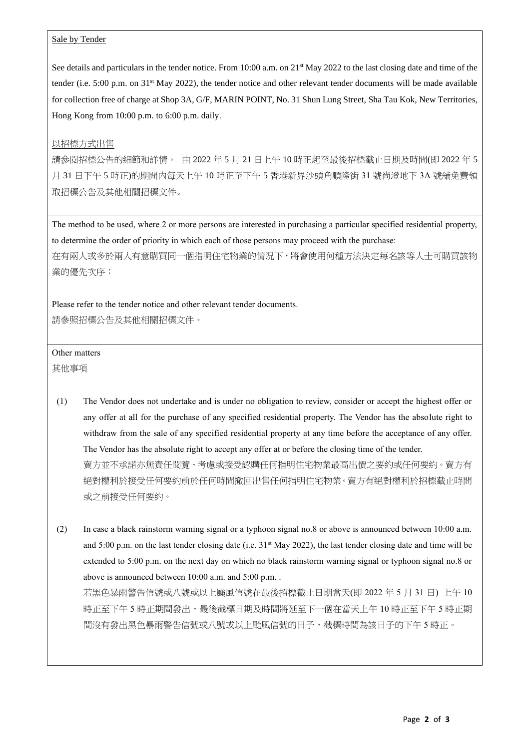#### Sale by Tender

See details and particulars in the tender notice. From 10:00 a.m. on 21<sup>st</sup> May 2022 to the last closing date and time of the tender (i.e. 5:00 p.m. on 31<sup>st</sup> May 2022), the tender notice and other relevant tender documents will be made available for collection free of charge at Shop 3A, G/F, MARIN POINT, No. 31 Shun Lung Street, Sha Tau Kok, New Territories, Hong Kong from 10:00 p.m. to 6:00 p.m. daily.

### 以招標方式出售

請參閱招標公告的細節和詳情。 由 2022 年 5 月 21 日上午 10 時正起至最後招標截止日期及時間(即 2022 年 5 月 31 日下午 5 時正)的期間内每天上午 10 時正至下午 5 香港新界沙頭角順隆街 31 號尚澄地下 3A 號舖免費領 取招標公告及其他相關招標文件。

The method to be used, where 2 or more persons are interested in purchasing a particular specified residential property, to determine the order of priority in which each of those persons may proceed with the purchase: 在有兩人或多於兩人有意購買同一個指明住宅物業的情況下,將會使用何種方法決定每名該等人士可購買該物 業的優先次序:

Please refer to the tender notice and other relevant tender documents. 請參照招標公告及其他相關招標文件。

## Other matters

其他事項

- (1) The Vendor does not undertake and is under no obligation to review, consider or accept the highest offer or any offer at all for the purchase of any specified residential property. The Vendor has the absolute right to withdraw from the sale of any specified residential property at any time before the acceptance of any offer. The Vendor has the absolute right to accept any offer at or before the closing time of the tender. 賣方並不承諾亦無責任閱覽、考慮或接受認購任何指明住宅物業最高出價之要約或任何要約。賣方有 絕對權利於接受任何要約前於任何時間撤回出售任何指明住宅物業。賣方有絕對權利於招標截止時間 或之前接受任何要約。
- (2) In case a black rainstorm warning signal or a typhoon signal no.8 or above is announced between 10:00 a.m. and  $5:00$  p.m. on the last tender closing date (i.e.  $31<sup>st</sup>$  May 2022), the last tender closing date and time will be extended to 5:00 p.m. on the next day on which no black rainstorm warning signal or typhoon signal no.8 or above is announced between 10:00 a.m. and 5:00 p.m. .

若黑色暴雨警告信號或八號或以上颱風信號在最後招標截止日期當天(即 2022 年 5 月 31 日) 上午 10 時正至下午 5 時正期間發出,最後截標日期及時間將延至下一個在當天上午 10 時正至下午 5 時正期 間沒有發出黑色暴雨警告信號或八號或以上颱風信號的日子,截標時間為該日子的下午 5 時正。